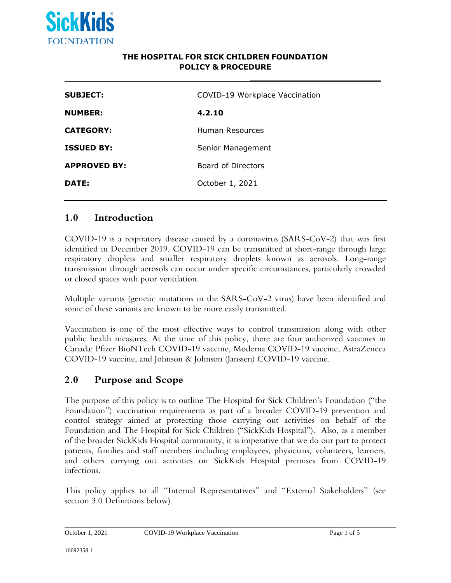

#### **THE HOSPITAL FOR SICK CHILDREN FOUNDATION POLICY & PROCEDURE**

**\_\_\_\_\_\_\_\_\_\_\_\_\_\_\_\_\_\_\_\_\_\_\_\_\_**

| COVID-19 Workplace Vaccination<br><b>SUBJECT:</b> |
|---------------------------------------------------|
| 4.2.10<br><b>NUMBER:</b>                          |
| <b>CATEGORY:</b><br>Human Resources               |
| <b>ISSUED BY:</b><br>Senior Management            |
| Board of Directors<br><b>APPROVED BY:</b>         |
| DATE:<br>October 1, 2021                          |

### **1.0 Introduction**

COVID-19 is a respiratory disease caused by a coronavirus (SARS-CoV-2) that was first identified in December 2019. COVID-19 can be transmitted at short-range through large respiratory droplets and smaller respiratory droplets known as aerosols. Long-range transmission through aerosols can occur under specific circumstances, particularly crowded or closed spaces with poor ventilation.

Multiple variants (genetic mutations in the SARS-CoV-2 virus) have been identified and some of these variants are known to be more easily transmitted.

Vaccination is one of the most effective ways to control transmission along with other public health measures. At the time of this policy, there are four authorized vaccines in Canada: Pfizer BioNTech COVID-19 vaccine, Moderna COVID-19 vaccine, AstraZeneca COVID-19 vaccine, and Johnson & Johnson (Janssen) COVID-19 vaccine.

### **2.0 Purpose and Scope**

The purpose of this policy is to outline The Hospital for Sick Children's Foundation ("the Foundation") vaccination requirements as part of a broader COVID-19 prevention and control strategy aimed at protecting those carrying out activities on behalf of the Foundation and The Hospital for Sick Children ("SickKids Hospital"). Also, as a member of the broader SickKids Hospital community, it is imperative that we do our part to protect patients, families and staff members including employees, physicians, volunteers, learners, and others carrying out activities on SickKids Hospital premises from COVID-19 infections.

This policy applies to all "Internal Representatives" and "External Stakeholders" (see section 3.0 Definitions below)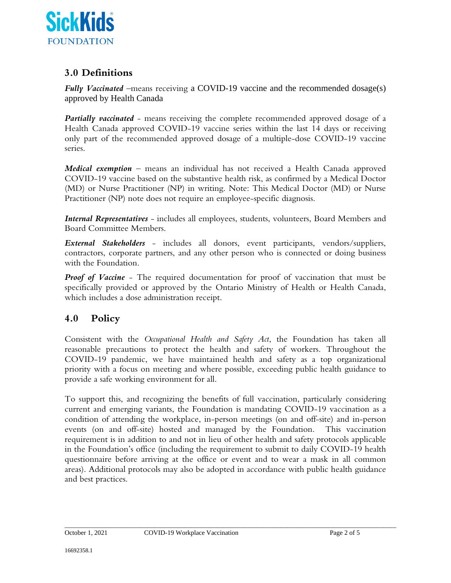

# **3.0 Definitions**

*Fully Vaccinated* –means receiving a COVID-19 vaccine and the recommended dosage(s) approved by Health Canada

*Partially vaccinated* – means receiving the complete recommended approved dosage of a Health Canada approved COVID-19 vaccine series within the last 14 days or receiving only part of the recommended approved dosage of a multiple-dose COVID-19 vaccine series.

*Medical exemption* – means an individual has not received a Health Canada approved COVID-19 vaccine based on the substantive health risk, as confirmed by a Medical Doctor (MD) or Nurse Practitioner (NP) in writing. Note: This Medical Doctor (MD) or Nurse Practitioner (NP) note does not require an employee-specific diagnosis.

*Internal Representatives* - includes all employees, students, volunteers, Board Members and Board Committee Members.

*External Stakeholders* - includes all donors, event participants, vendors/suppliers, contractors, corporate partners, and any other person who is connected or doing business with the Foundation.

*Proof of Vaccine* - The required documentation for proof of vaccination that must be specifically provided or approved by the Ontario Ministry of Health or Health Canada, which includes a dose administration receipt.

## **4.0 Policy**

Consistent with the *Occupational Health and Safety Act*, the Foundation has taken all reasonable precautions to protect the health and safety of workers*.* Throughout the COVID-19 pandemic, we have maintained health and safety as a top organizational priority with a focus on meeting and where possible, exceeding public health guidance to provide a safe working environment for all.

To support this, and recognizing the benefits of full vaccination, particularly considering current and emerging variants, the Foundation is mandating COVID-19 vaccination as a condition of attending the workplace, in-person meetings (on and off-site) and in-person events (on and off-site) hosted and managed by the Foundation. This vaccination requirement is in addition to and not in lieu of other health and safety protocols applicable in the Foundation's office (including the requirement to submit to daily COVID-19 health questionnaire before arriving at the office or event and to wear a mask in all common areas). Additional protocols may also be adopted in accordance with public health guidance and best practices.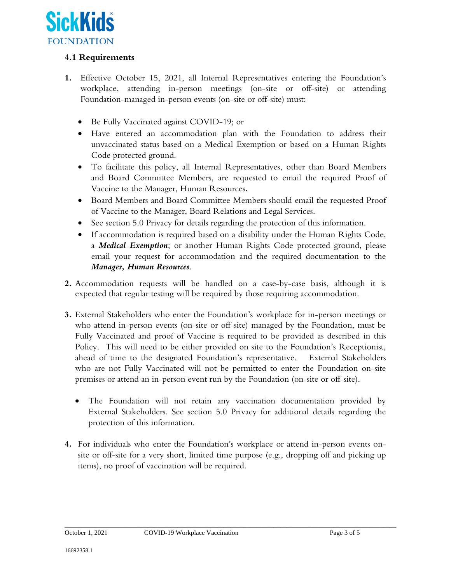

#### **4.1 Requirements**

- **1.** Effective October 15, 2021, all Internal Representatives entering the Foundation's workplace, attending in-person meetings (on-site or off-site) or attending Foundation-managed in-person events (on-site or off-site) must:
	- Be Fully Vaccinated against COVID-19; or
	- Have entered an accommodation plan with the Foundation to address their unvaccinated status based on a Medical Exemption or based on a Human Rights Code protected ground.
	- To facilitate this policy, all Internal Representatives, other than Board Members and Board Committee Members, are requested to email the required Proof of Vaccine to the Manager, Human Resources*.*
	- Board Members and Board Committee Members should email the requested Proof of Vaccine to the Manager, Board Relations and Legal Services.
	- See section 5.0 Privacy for details regarding the protection of this information.
	- If accommodation is required based on a disability under the Human Rights Code, a *Medical Exemption*; or another Human Rights Code protected ground, please email your request for accommodation and the required documentation to the *Manager, Human Resources*.
- **2.** Accommodation requests will be handled on a case-by-case basis, although it is expected that regular testing will be required by those requiring accommodation.
- **3.** External Stakeholders who enter the Foundation's workplace for in-person meetings or who attend in-person events (on-site or off-site) managed by the Foundation, must be Fully Vaccinated and proof of Vaccine is required to be provided as described in this Policy. This will need to be either provided on site to the Foundation's Receptionist, ahead of time to the designated Foundation's representative. External Stakeholders who are not Fully Vaccinated will not be permitted to enter the Foundation on-site premises or attend an in-person event run by the Foundation (on-site or off-site).
	- The Foundation will not retain any vaccination documentation provided by External Stakeholders. See section 5.0 Privacy for additional details regarding the protection of this information.
- **4.** For individuals who enter the Foundation's workplace or attend in-person events onsite or off-site for a very short, limited time purpose (e.g., dropping off and picking up items), no proof of vaccination will be required.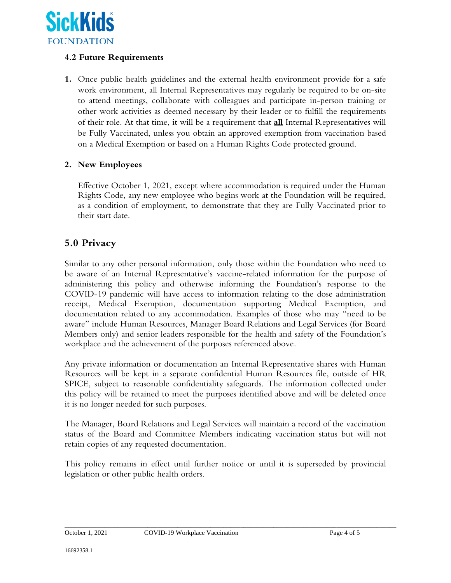

#### **4.2 Future Requirements**

**1.** Once public health guidelines and the external health environment provide for a safe work environment, all Internal Representatives may regularly be required to be on-site to attend meetings, collaborate with colleagues and participate in-person training or other work activities as deemed necessary by their leader or to fulfill the requirements of their role. At that time, it will be a requirement that **all** Internal Representatives will be Fully Vaccinated, unless you obtain an approved exemption from vaccination based on a Medical Exemption or based on a Human Rights Code protected ground.

#### **2. New Employees**

Effective October 1, 2021, except where accommodation is required under the Human Rights Code, any new employee who begins work at the Foundation will be required, as a condition of employment, to demonstrate that they are Fully Vaccinated prior to their start date.

## **5.0 Privacy**

Similar to any other personal information, only those within the Foundation who need to be aware of an Internal Representative's vaccine-related information for the purpose of administering this policy and otherwise informing the Foundation's response to the COVID-19 pandemic will have access to information relating to the dose administration receipt, Medical Exemption, documentation supporting Medical Exemption, and documentation related to any accommodation. Examples of those who may "need to be aware" include Human Resources, Manager Board Relations and Legal Services (for Board Members only) and senior leaders responsible for the health and safety of the Foundation's workplace and the achievement of the purposes referenced above.

Any private information or documentation an Internal Representative shares with Human Resources will be kept in a separate confidential Human Resources file, outside of HR SPICE, subject to reasonable confidentiality safeguards. The information collected under this policy will be retained to meet the purposes identified above and will be deleted once it is no longer needed for such purposes.

The Manager, Board Relations and Legal Services will maintain a record of the vaccination status of the Board and Committee Members indicating vaccination status but will not retain copies of any requested documentation.

This policy remains in effect until further notice or until it is superseded by provincial legislation or other public health orders.